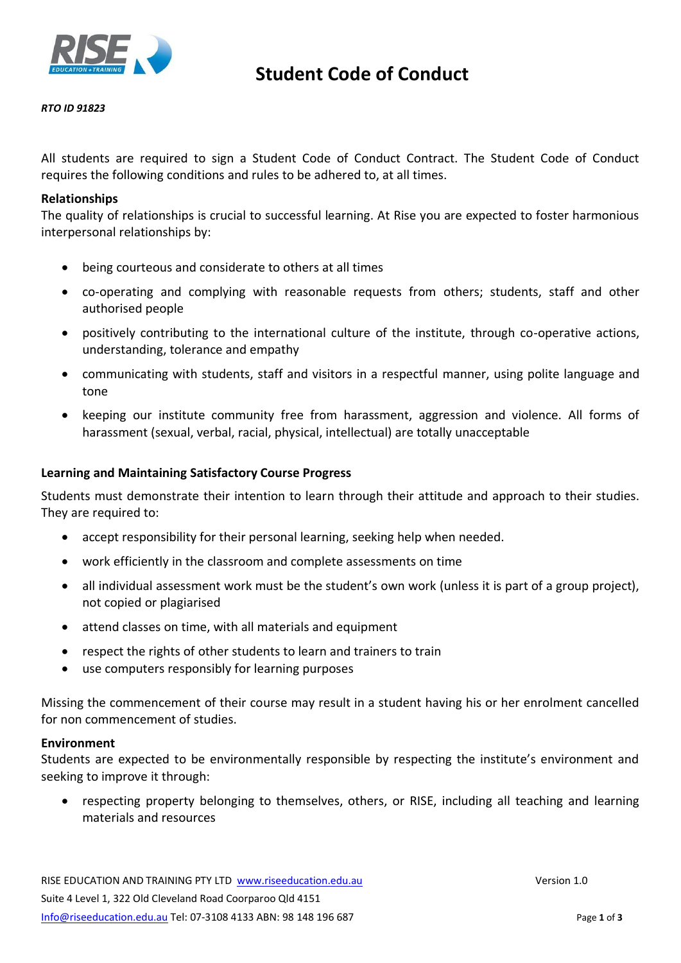

#### *RTO ID 91823*

All students are required to sign a Student Code of Conduct Contract. The Student Code of Conduct requires the following conditions and rules to be adhered to, at all times.

### **Relationships**

The quality of relationships is crucial to successful learning. At Rise you are expected to foster harmonious interpersonal relationships by:

- being courteous and considerate to others at all times
- co-operating and complying with reasonable requests from others; students, staff and other authorised people
- positively contributing to the international culture of the institute, through co-operative actions, understanding, tolerance and empathy
- communicating with students, staff and visitors in a respectful manner, using polite language and tone
- keeping our institute community free from harassment, aggression and violence. All forms of harassment (sexual, verbal, racial, physical, intellectual) are totally unacceptable

## **Learning and Maintaining Satisfactory Course Progress**

Students must demonstrate their intention to learn through their attitude and approach to their studies. They are required to:

- accept responsibility for their personal learning, seeking help when needed.
- work efficiently in the classroom and complete assessments on time
- all individual assessment work must be the student's own work (unless it is part of a group project), not copied or plagiarised
- attend classes on time, with all materials and equipment
- respect the rights of other students to learn and trainers to train
- use computers responsibly for learning purposes

Missing the commencement of their course may result in a student having his or her enrolment cancelled for non commencement of studies.

#### **Environment**

Students are expected to be environmentally responsible by respecting the institute's environment and seeking to improve it through:

• respecting property belonging to themselves, others, or RISE, including all teaching and learning materials and resources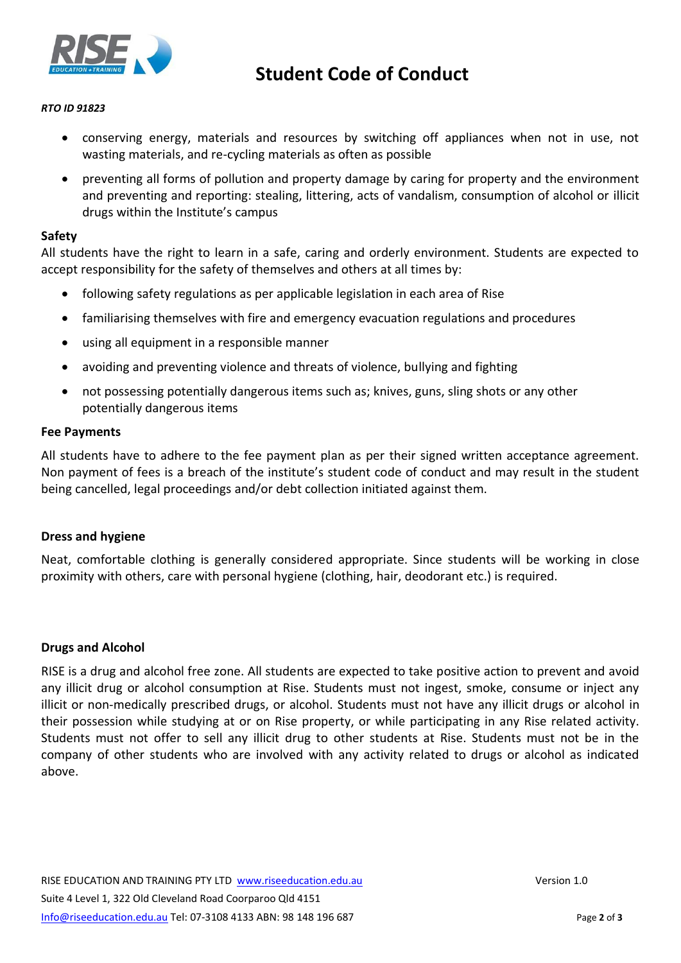

# **Student Code of Conduct**

### *RTO ID 91823*

- conserving energy, materials and resources by switching off appliances when not in use, not wasting materials, and re-cycling materials as often as possible
- preventing all forms of pollution and property damage by caring for property and the environment and preventing and reporting: stealing, littering, acts of vandalism, consumption of alcohol or illicit drugs within the Institute's campus

### **Safety**

All students have the right to learn in a safe, caring and orderly environment. Students are expected to accept responsibility for the safety of themselves and others at all times by:

- following safety regulations as per applicable legislation in each area of Rise
- familiarising themselves with fire and emergency evacuation regulations and procedures
- using all equipment in a responsible manner
- avoiding and preventing violence and threats of violence, bullying and fighting
- not possessing potentially dangerous items such as; knives, guns, sling shots or any other potentially dangerous items

## **Fee Payments**

All students have to adhere to the fee payment plan as per their signed written acceptance agreement. Non payment of fees is a breach of the institute's student code of conduct and may result in the student being cancelled, legal proceedings and/or debt collection initiated against them.

## **Dress and hygiene**

Neat, comfortable clothing is generally considered appropriate. Since students will be working in close proximity with others, care with personal hygiene (clothing, hair, deodorant etc.) is required.

#### **Drugs and Alcohol**

RISE is a drug and alcohol free zone. All students are expected to take positive action to prevent and avoid any illicit drug or alcohol consumption at Rise. Students must not ingest, smoke, consume or inject any illicit or non-medically prescribed drugs, or alcohol. Students must not have any illicit drugs or alcohol in their possession while studying at or on Rise property, or while participating in any Rise related activity. Students must not offer to sell any illicit drug to other students at Rise. Students must not be in the company of other students who are involved with any activity related to drugs or alcohol as indicated above.